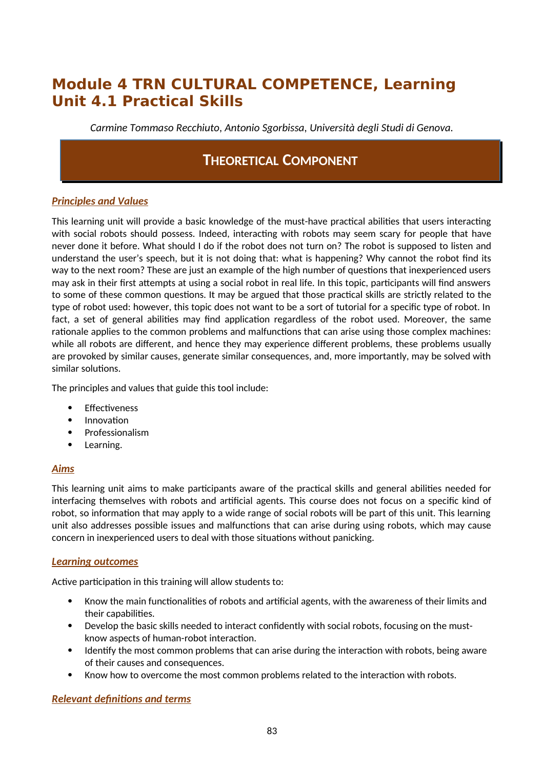# **Module 4 TRN CULTURAL COMPETENCE, Learning Unit 4.1 Practical Skills**

*Carmine Tommaso Recchiuto, Antonio Sgorbissa, Università degli Studi di Genova.*

## **THEORETICAL COMPONENT**

### *Principles and Values*

This learning unit will provide a basic knowledge of the must-have practical abilities that users interacting with social robots should possess. Indeed, interacting with robots may seem scary for people that have never done it before. What should I do if the robot does not turn on? The robot is supposed to listen and understand the user's speech, but it is not doing that: what is happening? Why cannot the robot find its way to the next room? These are just an example of the high number of questions that inexperienced users may ask in their first attempts at using a social robot in real life. In this topic, participants will find answers to some of these common questions. It may be argued that those practical skills are strictly related to the type of robot used: however, this topic does not want to be a sort of tutorial for a specific type of robot. In fact, a set of general abilities may find application regardless of the robot used. Moreover, the same rationale applies to the common problems and malfunctions that can arise using those complex machines: while all robots are different, and hence they may experience different problems, these problems usually are provoked by similar causes, generate similar consequences, and, more importantly, may be solved with similar solutions.

The principles and values that guide this tool include:

- Fffectiveness
- Innovation
- Professionalism
- Learning.

#### *Aims*

This learning unit aims to make participants aware of the practical skills and general abilities needed for interfacing themselves with robots and artificial agents. This course does not focus on a specific kind of robot, so information that may apply to a wide range of social robots will be part of this unit. This learning unit also addresses possible issues and malfunctions that can arise during using robots, which may cause concern in inexperienced users to deal with those situations without panicking.

#### *Learning outcomes*

Active participation in this training will allow students to:

- Know the main functionalities of robots and artificial agents, with the awareness of their limits and their capabilities.
- Develop the basic skills needed to interact confidently with social robots, focusing on the mustknow aspects of human-robot interaction.
- Identify the most common problems that can arise during the interaction with robots, being aware of their causes and consequences.
- Know how to overcome the most common problems related to the interaction with robots.

### *Relevant definitions and terms*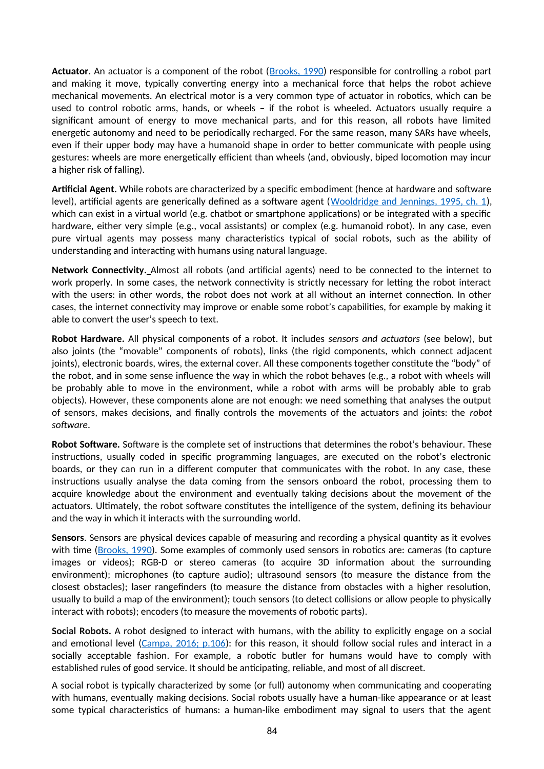**Actuator**. An actuator is a component of the robot ([Brooks, 1990](https://www2.cs.sfu.ca/~vaughan/teaching/889/papers/elephants.pdf)) responsible for controlling a robot part and making it move, typically converting energy into a mechanical force that helps the robot achieve mechanical movements. An electrical motor is a very common type of actuator in robotics, which can be used to control robotic arms, hands, or wheels – if the robot is wheeled. Actuators usually require a significant amount of energy to move mechanical parts, and for this reason, all robots have limited energetic autonomy and need to be periodically recharged. For the same reason, many SARs have wheels, even if their upper body may have a humanoid shape in order to better communicate with people using gestures: wheels are more energetically efficient than wheels (and, obviously, biped locomotion may incur a higher risk of falling).

**Artificial Agent.** While robots are characterized by a specific embodiment (hence at hardware and software level), artificial agents are generically defined as a software agent ([Wooldridge and Jennings, 1995, ch. 1\)](https://citeseerx.ist.psu.edu/viewdoc/download?doi=10.1.1.119.2204&rep=rep1&type=pdf), which can exist in a virtual world (e.g. chatbot or smartphone applications) or be integrated with a specific hardware, either very simple (e.g., vocal assistants) or complex (e.g. humanoid robot). In any case, even pure virtual agents may possess many characteristics typical of social robots, such as the ability of understanding and interacting with humans using natural language.

**Network Connectivity.** Almost all robots (and artificial agents) need to be connected to the internet to work properly. In some cases, the network connectivity is strictly necessary for letting the robot interact with the users: in other words, the robot does not work at all without an internet connection. In other cases, the internet connectivity may improve or enable some robot's capabilities, for example by making it able to convert the user's speech to text.

**Robot Hardware.** All physical components of a robot. It includes *sensors and actuators* (see below), but also joints (the "movable" components of robots), links (the rigid components, which connect adjacent joints), electronic boards, wires, the external cover. All these components together constitute the "body" of the robot, and in some sense influence the way in which the robot behaves (e.g., a robot with wheels will be probably able to move in the environment, while a robot with arms will be probably able to grab objects). However, these components alone are not enough: we need something that analyses the output of sensors, makes decisions, and finally controls the movements of the actuators and joints: the *robot software*.

**Robot Software.** Software is the complete set of instructions that determines the robot's behaviour. These instructions, usually coded in specific programming languages, are executed on the robot's electronic boards, or they can run in a different computer that communicates with the robot. In any case, these instructions usually analyse the data coming from the sensors onboard the robot, processing them to acquire knowledge about the environment and eventually taking decisions about the movement of the actuators. Ultimately, the robot software constitutes the intelligence of the system, defining its behaviour and the way in which it interacts with the surrounding world.

**Sensors**. Sensors are physical devices capable of measuring and recording a physical quantity as it evolves with time ([Brooks, 1990](https://www2.cs.sfu.ca/~vaughan/teaching/889/papers/elephants.pdf)). Some examples of commonly used sensors in robotics are: cameras (to capture images or videos); RGB-D or stereo cameras (to acquire 3D information about the surrounding environment); microphones (to capture audio); ultrasound sensors (to measure the distance from the closest obstacles); laser rangefinders (to measure the distance from obstacles with a higher resolution, usually to build a map of the environment); touch sensors (to detect collisions or allow people to physically interact with robots); encoders (to measure the movements of robotic parts).

**Social Robots.** A robot designed to interact with humans, with the ability to explicitly engage on a social and emotional level [\(Campa, 2016; p.106](https://www.researchgate.net/publication/308787576_The_Rise_of_Social_Robots_A_Review_of_the_Recent_Literature)): for this reason, it should follow social rules and interact in a socially acceptable fashion. For example, a robotic butler for humans would have to comply with established rules of good service. It should be anticipating, reliable, and most of all discreet.

A social robot is typically characterized by some (or full) autonomy when communicating and cooperating with humans, eventually making decisions. Social robots usually have a human-like appearance or at least some typical characteristics of humans: a human-like embodiment may signal to users that the agent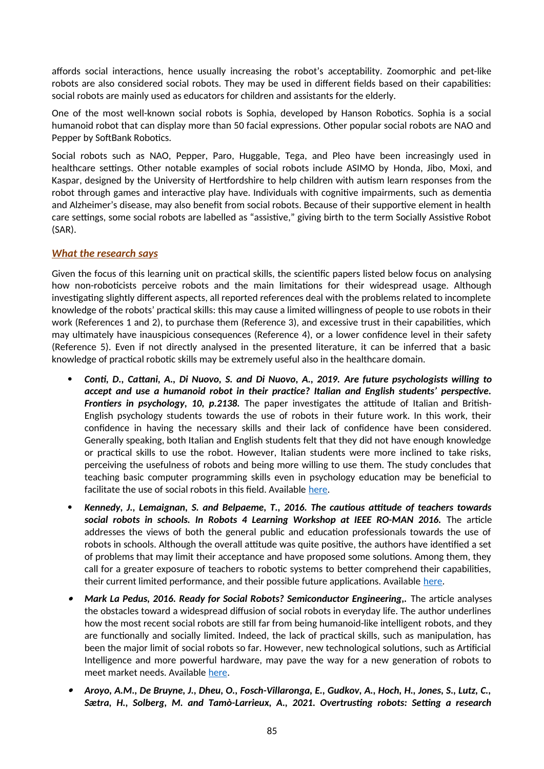affords social interactions, hence usually increasing the robot's acceptability. Zoomorphic and pet-like robots are also considered social robots. They may be used in different fields based on their capabilities: social robots are mainly used as educators for children and assistants for the elderly.

One of the most well-known social robots is Sophia, developed by Hanson Robotics. Sophia is a social humanoid robot that can display more than 50 facial expressions. Other popular social robots are NAO and Pepper by SoftBank Robotics.

Social robots such as NAO, Pepper, Paro, Huggable, Tega, and Pleo have been increasingly used in healthcare settings. Other notable examples of social robots include ASIMO by Honda, Jibo, Moxi, and Kaspar, designed by the University of Hertfordshire to help children with autism learn responses from the robot through games and interactive play have. Individuals with cognitive impairments, such as dementia and Alzheimer's disease, may also benefit from social robots. Because of their supportive element in health care settings, some social robots are labelled as "assistive," giving birth to the term Socially Assistive Robot (SAR).

#### *What the research says*

Given the focus of this learning unit on practical skills, the scientific papers listed below focus on analysing how non-roboticists perceive robots and the main limitations for their widespread usage. Although investigating slightly different aspects, all reported references deal with the problems related to incomplete knowledge of the robots' practical skills: this may cause a limited willingness of people to use robots in their work (References 1 and 2), to purchase them (Reference 3), and excessive trust in their capabilities, which may ultimately have inauspicious consequences (Reference 4), or a lower confidence level in their safety (Reference 5). Even if not directly analysed in the presented literature, it can be inferred that a basic knowledge of practical robotic skills may be extremely useful also in the healthcare domain.

- *Conti, D., Cattani, A., Di Nuovo, S. and Di Nuovo, A., 2019. Are future psychologists willing to accept and use a humanoid robot in their practice? Italian and English students' perspective. Frontiers in psychology, 10, p.2138.* The paper investigates the attitude of Italian and British-English psychology students towards the use of robots in their future work. In this work, their confidence in having the necessary skills and their lack of confidence have been considered. Generally speaking, both Italian and English students felt that they did not have enough knowledge or practical skills to use the robot. However, Italian students were more inclined to take risks, perceiving the usefulness of robots and being more willing to use them. The study concludes that teaching basic computer programming skills even in psychology education may be beneficial to facilitate the use of social robots in this field. Available [here](https://www.frontiersin.org/articles/10.3389/fpsyg.2019.02138/full).
- *Kennedy, J., Lemaignan, S. and Belpaeme, T., 2016. The cautious attitude of teachers towards social robots in schools. In Robots 4 Learning Workshop at IEEE RO-MAN 2016.* The article addresses the views of both the general public and education professionals towards the use of robots in schools. Although the overall attitude was quite positive, the authors have identified a set of problems that may limit their acceptance and have proposed some solutions. Among them, they call for a greater exposure of teachers to robotic systems to better comprehend their capabilities, their current limited performance, and their possible future applications. Available [here](https://james-kennedy.github.io/publications/KennedyEtAl2016ROMANR4L.pdf).
- $\bullet$  *Mark La Pedus, 2016. Ready for Social Robots? Semiconductor Engineering,.* The article analyses the obstacles toward a widespread diffusion of social robots in everyday life. The author underlines how the most recent social robots are still far from being humanoid-like intelligent robots, and they are functionally and socially limited. Indeed, the lack of practical skills, such as manipulation, has been the major limit of social robots so far. However, new technological solutions, such as Artificial Intelligence and more powerful hardware, may pave the way for a new generation of robots to meet market needs. Available [here.](https://semiengineering.com/ready-for-social-robots/)
- 6 *Aroyo, A.M., De Bruyne, J., Dheu, O., Fosch-Villaronga, E., Gudkov, A., Hoch, H., Jones, S., Lutz, C., Sætra, H., Solberg, M. and Tamò-Larrieux, A., 2021. Overtrusting robots: Setting a research*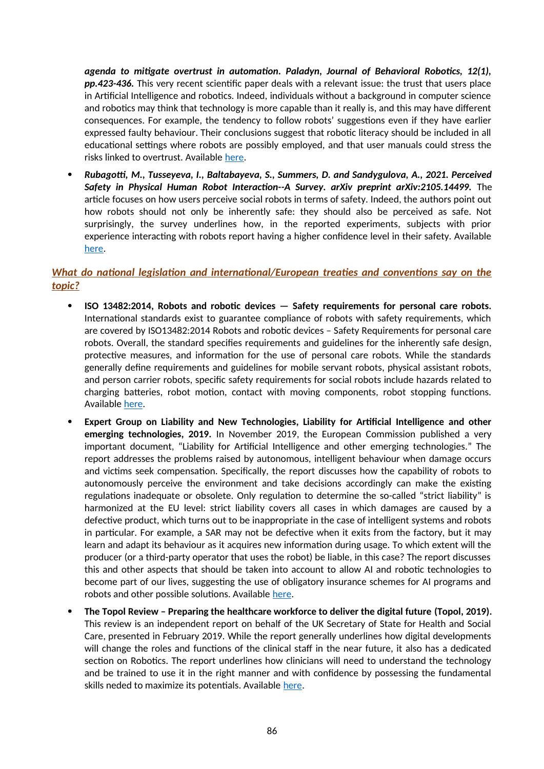*agenda to mitigate overtrust in automation. Paladyn, Journal of Behavioral Robotics, 12(1), pp.423-436.* This very recent scientific paper deals with a relevant issue: the trust that users place in Artificial Intelligence and robotics. Indeed, individuals without a background in computer science and robotics may think that technology is more capable than it really is, and this may have different consequences. For example, the tendency to follow robots' suggestions even if they have earlier expressed faulty behaviour. Their conclusions suggest that robotic literacy should be included in all educational settings where robots are possibly employed, and that user manuals could stress the risks linked to overtrust. Available [here.](https://www.researchgate.net/publication/355320188_Overtrusting_robots_Setting_a_research_agenda_to_mitigate_overtrust_in_automation)

 *Rubagotti, M., Tusseyeva, I., Baltabayeva, S., Summers, D. and Sandygulova, A., 2021. Perceived* **Safety in Physical Human Robot Interaction--A Survey, arXiv preprint arXiv:2105.14499.** The article focuses on how users perceive social robots in terms of safety. Indeed, the authors point out how robots should not only be inherently safe: they should also be perceived as safe. Not surprisingly, the survey underlines how, in the reported experiments, subjects with prior experience interacting with robots report having a higher confidence level in their safety. Available [here](https://www.researchgate.net/publication/352016411_Perceived_Safety_in_Physical_Human_Robot_Interaction_--_A_Survey).

## *What do national legislation and international/European treaties and conventions say on the topic?*

- **ISO 13482:2014, Robots and robotic devices Safety requirements for personal care robots.** International standards exist to guarantee compliance of robots with safety requirements, which are covered by ISO13482:2014 Robots and robotic devices – Safety Requirements for personal care robots. Overall, the standard specifies requirements and guidelines for the inherently safe design, protective measures, and information for the use of personal care robots. While the standards generally define requirements and guidelines for mobile servant robots, physical assistant robots, and person carrier robots, specific safety requirements for social robots include hazards related to charging batteries, robot motion, contact with moving components, robot stopping functions. Available [here](https://www.iso.org/standard/53820.html).
- **Expert Group on Liability and New Technologies, Liability for Artificial Intelligence and other emerging technologies, 2019.** In November 2019, the European Commission published a very important document, "Liability for Artificial Intelligence and other emerging technologies." The report addresses the problems raised by autonomous, intelligent behaviour when damage occurs and victims seek compensation. Specifically, the report discusses how the capability of robots to autonomously perceive the environment and take decisions accordingly can make the existing regulations inadequate or obsolete. Only regulation to determine the so-called "strict liability" is harmonized at the EU level: strict liability covers all cases in which damages are caused by a defective product, which turns out to be inappropriate in the case of intelligent systems and robots in particular. For example, a SAR may not be defective when it exits from the factory, but it may learn and adapt its behaviour as it acquires new information during usage. To which extent will the producer (or a third-party operator that uses the robot) be liable, in this case? The report discusses this and other aspects that should be taken into account to allow AI and robotic technologies to become part of our lives, suggesting the use of obligatory insurance schemes for AI programs and robots and other possible solutions. Available [here](https://op.europa.eu/en/publication-detail/-/publication/1c5e30be-1197-11ea-8c1f-01aa75ed71a1/language-en/format-PDF).
- **The Topol Review Preparing the healthcare workforce to deliver the digital future (Topol, 2019).** This review is an independent report on behalf of the UK Secretary of State for Health and Social Care, presented in February 2019. While the report generally underlines how digital developments will change the roles and functions of the clinical staff in the near future, it also has a dedicated section on Robotics. The report underlines how clinicians will need to understand the technology and be trained to use it in the right manner and with confidence by possessing the fundamental skills neded to maximize its potentials. Available [here.](https://www.hee.nhs.uk/sites/default/files/documents/Topol%20Review%20interim%20report_0.pdf)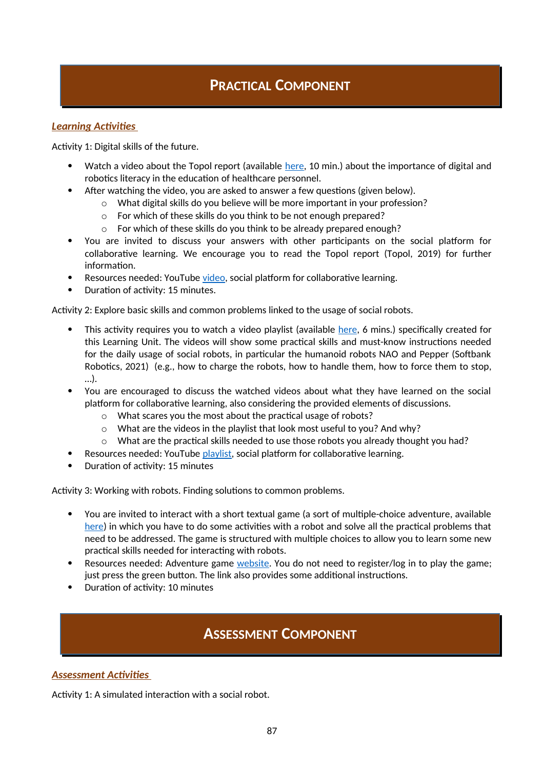## **PRACTICAL COMPONENT**

### *Learning Activities*

Activity 1: Digital skills of the future.

- Watch a video about the Topol report (available [here,](https://www.youtube.com/watch?v=hVyyLMZPJ-o) 10 min.) about the importance of digital and robotics literacy in the education of healthcare personnel.
- After watching the video, you are asked to answer a few questions (given below).
	- o What digital skills do you believe will be more important in your profession?
		- o For which of these skills do you think to be not enough prepared?
		- o For which of these skills do you think to be already prepared enough?
- You are invited to discuss your answers with other participants on the social platform for collaborative learning. We encourage you to read the Topol report (Topol, 2019) for further information.
- Resources needed: YouTube [video](https://www.youtube.com/watch?v=hVyyLMZPJ-o), social platform for collaborative learning.
- Duration of activity: 15 minutes.

Activity 2: Explore basic skills and common problems linked to the usage of social robots.

- This activity requires you to watch a video playlist (available [here,](https://www.youtube.com/playlist?list=PL8B8Qf-WR74O0uJYWFMlDXRjpv7fdHHCY) 6 mins.) specifically created for this Learning Unit. The videos will show some practical skills and must-know instructions needed for the daily usage of social robots, in particular the humanoid robots NAO and Pepper (Softbank Robotics, 2021) (e.g., how to charge the robots, how to handle them, how to force them to stop, …).
- You are encouraged to discuss the watched videos about what they have learned on the social platform for collaborative learning, also considering the provided elements of discussions.
	- o What scares you the most about the practical usage of robots?
	- o What are the videos in the playlist that look most useful to you? And why?
	- $\circ$  What are the practical skills needed to use those robots you already thought you had?
- Resources needed: YouTube [playlist](https://www.youtube.com/playlist?list=PL8B8Qf-WR74O0uJYWFMlDXRjpv7fdHHCY), social platform for collaborative learning.
- Duration of activity: 15 minutes

Activity 3: Working with robots. Finding solutions to common problems.

- You are invited to interact with a short textual game (a sort of multiple-choice adventure, available [here](http://textadventures.co.uk/games/view/1mpru0krnkwhcktjb4hbjg/working-with-robots-practical-skills)) in which you have to do some activities with a robot and solve all the practical problems that need to be addressed. The game is structured with multiple choices to allow you to learn some new practical skills needed for interacting with robots.
- Resources needed: Adventure game [website.](http://textadventures.co.uk/games/view/1mpru0krnkwhcktjb4hbjg/working-with-robots-practical-skills) You do not need to register/log in to play the game; just press the green button. The link also provides some additional instructions.
- Duration of activity: 10 minutes

## **ASSESSMENT COMPONENT**

### *Assessment Activities*

Activity 1: A simulated interaction with a social robot.